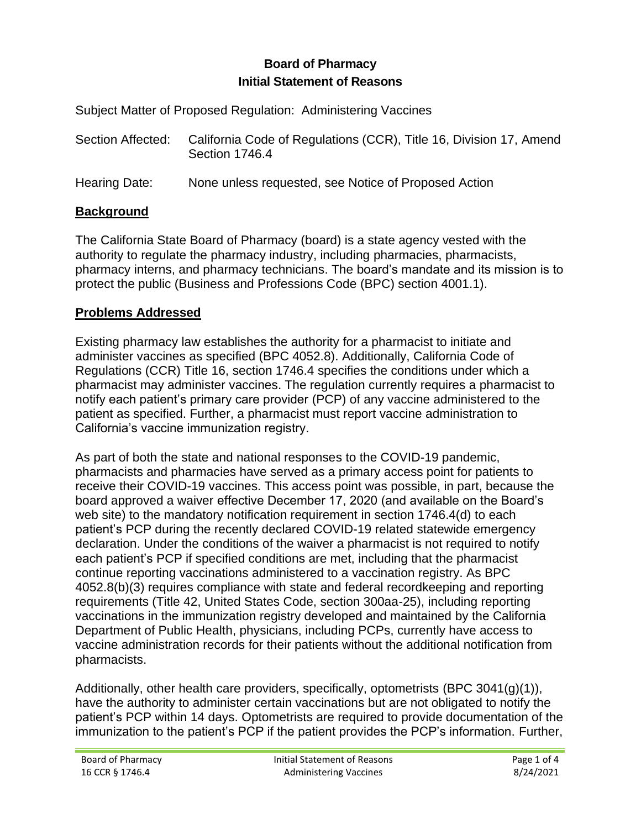## **Initial Statement of Reasons Board of Pharmacy**

Subject Matter of Proposed Regulation: Administering Vaccines

| Section Affected: | California Code of Regulations (CCR), Title 16, Division 17, Amend<br>Section 1746.4 |
|-------------------|--------------------------------------------------------------------------------------|
|                   |                                                                                      |

Hearing Date: None unless requested, see Notice of Proposed Action

# **Background**

 pharmacy interns, and pharmacy technicians. The board's mandate and its mission is to The California State Board of Pharmacy (board) is a state agency vested with the authority to regulate the pharmacy industry, including pharmacies, pharmacists, protect the public (Business and Professions Code (BPC) section 4001.1).

## **Problems Addressed**

 Existing pharmacy law establishes the authority for a pharmacist to initiate and administer vaccines as specified (BPC 4052.8). Additionally, California Code of Regulations (CCR) Title 16, section 1746.4 specifies the conditions under which a pharmacist may administer vaccines. The regulation currently requires a pharmacist to notify each patient's primary care provider (PCP) of any vaccine administered to the patient as specified. Further, a pharmacist must report vaccine administration to California's vaccine immunization registry.

 4052.8(b)(3) requires compliance with state and federal recordkeeping and reporting Department of Public Health, physicians, including PCPs, currently have access to As part of both the state and national responses to the COVID-19 pandemic, pharmacists and pharmacies have served as a primary access point for patients to receive their COVID-19 vaccines. This access point was possible, in part, because the board approved a waiver effective December 17, 2020 (and available on the Board's web site) to the mandatory notification requirement in section 1746.4(d) to each patient's PCP during the recently declared COVID-19 related statewide emergency declaration. Under the conditions of the waiver a pharmacist is not required to notify each patient's PCP if specified conditions are met, including that the pharmacist continue reporting vaccinations administered to a vaccination registry. As BPC requirements (Title 42, United States Code, section 300aa-25), including reporting vaccinations in the immunization registry developed and maintained by the California vaccine administration records for their patients without the additional notification from pharmacists.

 patient's PCP within 14 days. Optometrists are required to provide documentation of the Additionally, other health care providers, specifically, optometrists (BPC 3041(g)(1)), have the authority to administer certain vaccinations but are not obligated to notify the immunization to the patient's PCP if the patient provides the PCP's information. Further,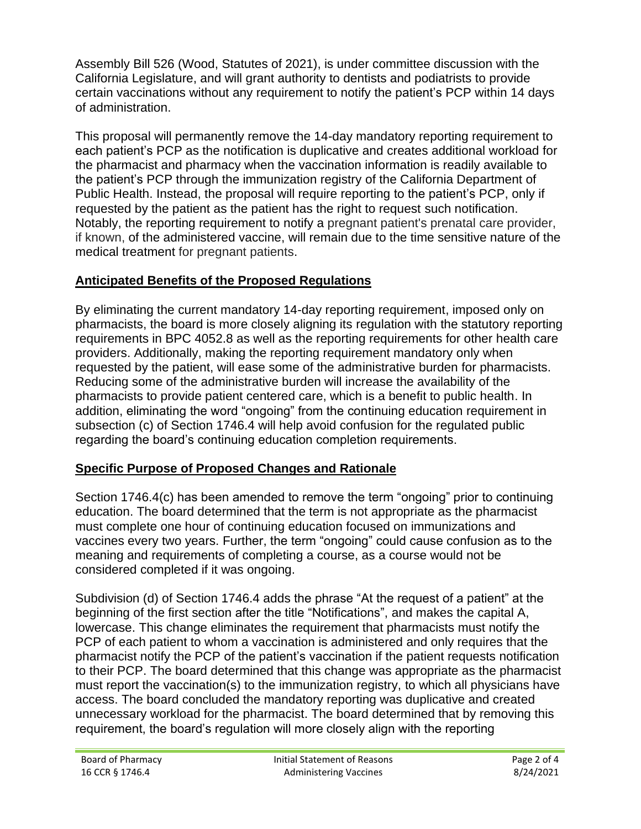Assembly Bill 526 (Wood, Statutes of 2021), is under committee discussion with the California Legislature, and will grant authority to dentists and podiatrists to provide certain vaccinations without any requirement to notify the patient's PCP within 14 days of administration.

 each patient's PCP as the notification is duplicative and creates additional workload for requested by the patient as the patient has the right to request such notification. This proposal will permanently remove the 14-day mandatory reporting requirement to the pharmacist and pharmacy when the vaccination information is readily available to the patient's PCP through the immunization registry of the California Department of Public Health. Instead, the proposal will require reporting to the patient's PCP, only if Notably, the reporting requirement to notify a pregnant patient's prenatal care provider, if known, of the administered vaccine, will remain due to the time sensitive nature of the medical treatment for pregnant patients.

# **Anticipated Benefits of the Proposed Regulations**

 requested by the patient, will ease some of the administrative burden for pharmacists. Reducing some of the administrative burden will increase the availability of the By eliminating the current mandatory 14-day reporting requirement, imposed only on pharmacists, the board is more closely aligning its regulation with the statutory reporting requirements in BPC 4052.8 as well as the reporting requirements for other health care providers. Additionally, making the reporting requirement mandatory only when pharmacists to provide patient centered care, which is a benefit to public health. In addition, eliminating the word "ongoing" from the continuing education requirement in subsection (c) of Section 1746.4 will help avoid confusion for the regulated public regarding the board's continuing education completion requirements.

# **Specific Purpose of Proposed Changes and Rationale**

 education. The board determined that the term is not appropriate as the pharmacist Section 1746.4(c) has been amended to remove the term "ongoing" prior to continuing must complete one hour of continuing education focused on immunizations and vaccines every two years. Further, the term "ongoing" could cause confusion as to the meaning and requirements of completing a course, as a course would not be considered completed if it was ongoing.

 beginning of the first section after the title "Notifications", and makes the capital A, Subdivision (d) of Section 1746.4 adds the phrase "At the request of a patient" at the lowercase. This change eliminates the requirement that pharmacists must notify the PCP of each patient to whom a vaccination is administered and only requires that the pharmacist notify the PCP of the patient's vaccination if the patient requests notification to their PCP. The board determined that this change was appropriate as the pharmacist must report the vaccination(s) to the immunization registry, to which all physicians have access. The board concluded the mandatory reporting was duplicative and created unnecessary workload for the pharmacist. The board determined that by removing this requirement, the board's regulation will more closely align with the reporting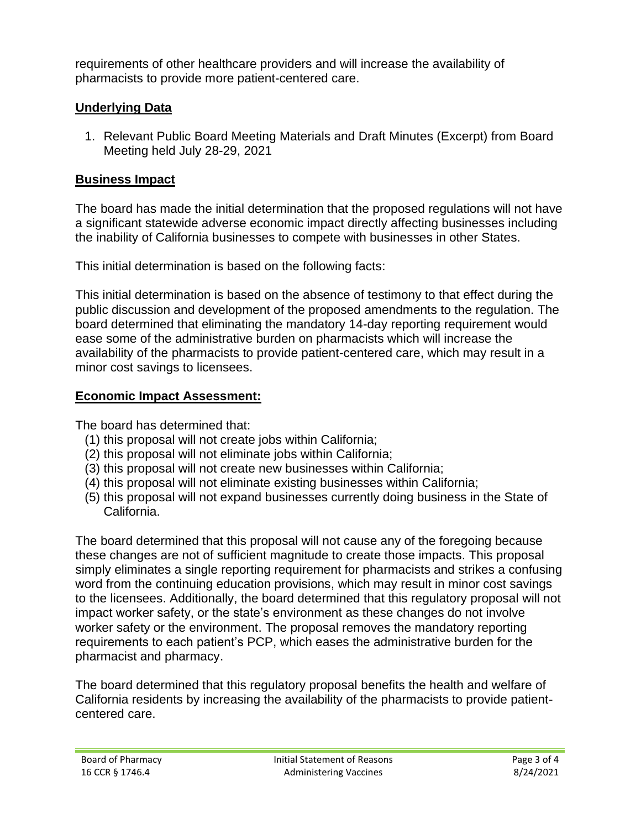requirements of other healthcare providers and will increase the availability of pharmacists to provide more patient-centered care.

## **Underlying Data**

 Meeting held July 28-29, 2021 1. Relevant Public Board Meeting Materials and Draft Minutes (Excerpt) from Board

## **Business Impact**

The board has made the initial determination that the proposed regulations will not have a significant statewide adverse economic impact directly affecting businesses including the inability of California businesses to compete with businesses in other States.

This initial determination is based on the following facts:

 This initial determination is based on the absence of testimony to that effect during the public discussion and development of the proposed amendments to the regulation. The board determined that eliminating the mandatory 14-day reporting requirement would ease some of the administrative burden on pharmacists which will increase the availability of the pharmacists to provide patient-centered care, which may result in a minor cost savings to licensees.

# **Economic Impact Assessment:**

The board has determined that:

- (1) this proposal will not create jobs within California;
- (2) this proposal will not eliminate jobs within California;
- (3) this proposal will not create new businesses within California;
- (4) this proposal will not eliminate existing businesses within California;
- (5) this proposal will not expand businesses currently doing business in the State of California.

The board determined that this proposal will not cause any of the foregoing because these changes are not of sufficient magnitude to create those impacts. This proposal simply eliminates a single reporting requirement for pharmacists and strikes a confusing word from the continuing education provisions, which may result in minor cost savings to the licensees. Additionally, the board determined that this regulatory proposal will not impact worker safety, or the state's environment as these changes do not involve worker safety or the environment. The proposal removes the mandatory reporting requirements to each patient's PCP, which eases the administrative burden for the pharmacist and pharmacy.

The board determined that this regulatory proposal benefits the health and welfare of California residents by increasing the availability of the pharmacists to provide patientcentered care.